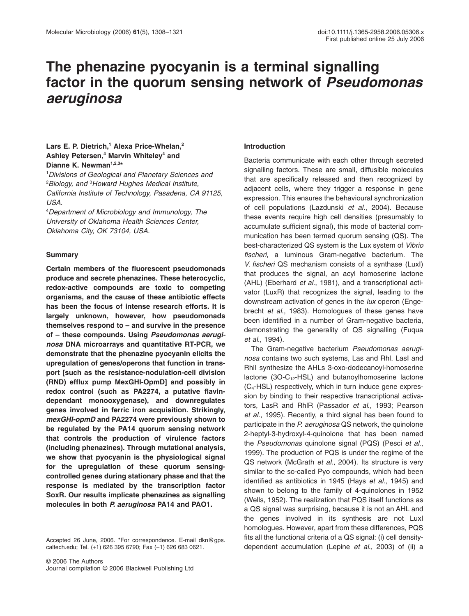# **The phenazine pyocyanin is a terminal signalling factor in the quorum sensing network of** *Pseudomonas aeruginosa*

# Lars E. P. Dietrich,<sup>1</sup> Alexa Price-Whelan,<sup>2</sup> **Ashley Petersen,4 Marvin Whiteley4 and** Dianne K. Newman<sup>1,2,3\*</sup>

1 *Divisions of Geological and Planetary Sciences and* 2 *Biology, and* <sup>3</sup> *Howard Hughes Medical Institute, California Institute of Technology, Pasadena, CA 91125, USA.*

4 *Department of Microbiology and Immunology, The University of Oklahoma Health Sciences Center, Oklahoma City, OK 73104, USA.*

## **Summary**

**Certain members of the fluorescent pseudomonads produce and secrete phenazines. These heterocyclic, redox-active compounds are toxic to competing organisms, and the cause of these antibiotic effects has been the focus of intense research efforts. It is largely unknown, however, how pseudomonads themselves respond to – and survive in the presence of – these compounds. Using** *Pseudomonas aeruginosa* **DNA microarrays and quantitative RT-PCR, we demonstrate that the phenazine pyocyanin elicits the upregulation of genes/operons that function in transport [such as the resistance-nodulation-cell division (RND) efflux pump MexGHI-OpmD] and possibly in redox control (such as PA2274, a putative flavindependant monooxygenase), and downregulates genes involved in ferric iron acquisition. Strikingly,** *mexGHI-opmD* **and PA2274 were previously shown to be regulated by the PA14 quorum sensing network that controls the production of virulence factors (including phenazines). Through mutational analysis, we show that pyocyanin is the physiological signal for the upregulation of these quorum sensingcontrolled genes during stationary phase and that the response is mediated by the transcription factor SoxR. Our results implicate phenazines as signalling molecules in both** *P. aeruginosa* **PA14 and PAO1.**

Accepted 26 June, 2006. \*For correspondence. E-mail dkn@gps. caltech.edu; Tel. (+1) 626 395 6790; Fax (+1) 626 683 0621.

## **Introduction**

Bacteria communicate with each other through secreted signalling factors. These are small, diffusible molecules that are specifically released and then recognized by adjacent cells, where they trigger a response in gene expression. This ensures the behavioural synchronization of cell populations (Lazdunski *et al*., 2004). Because these events require high cell densities (presumably to accumulate sufficient signal), this mode of bacterial communication has been termed quorum sensing (QS). The best-characterized QS system is the Lux system of *Vibrio fischeri*, a luminous Gram-negative bacterium. The *V. fischeri* QS mechanism consists of a synthase (LuxI) that produces the signal, an acyl homoserine lactone (AHL) (Eberhard *et al*., 1981), and a transcriptional activator (LuxR) that recognizes the signal, leading to the downstream activation of genes in the *lux* operon (Engebrecht *et al*., 1983). Homologues of these genes have been identified in a number of Gram-negative bacteria, demonstrating the generality of QS signalling (Fuqua *et al*., 1994).

The Gram-negative bacterium *Pseudomonas aeruginosa* contains two such systems, Las and Rhl. LasI and RhlI synthesize the AHLs 3-oxo-dodecanoyl-homoserine lactone  $(3O-C_{12}-HSL)$  and butanoylhomoserine lactone (C4-HSL) respectively, which in turn induce gene expression by binding to their respective transcriptional activators, LasR and RhlR (Passador *et al*., 1993; Pearson *et al*., 1995). Recently, a third signal has been found to participate in the *P. aeruginosa* QS network, the quinolone 2-heptyl-3-hydroxyl-4-quinolone that has been named the *Pseudomonas* quinolone signal (PQS) (Pesci *et al*., 1999). The production of PQS is under the regime of the QS network (McGrath *et al*., 2004). Its structure is very similar to the so-called Pyo compounds, which had been identified as antibiotics in 1945 (Hays *et al*., 1945) and shown to belong to the family of 4-quinolones in 1952 (Wells, 1952). The realization that PQS itself functions as a QS signal was surprising, because it is not an AHL and the genes involved in its synthesis are not LuxI homologues. However, apart from these differences, PQS fits all the functional criteria of a QS signal: (i) cell densitydependent accumulation (Lepine *et al*., 2003) of (ii) a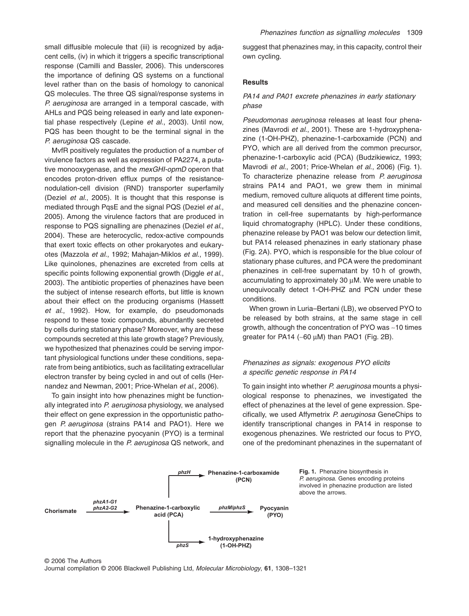small diffusible molecule that (iii) is recognized by adjacent cells, (iv) in which it triggers a specific transcriptional response (Camilli and Bassler, 2006). This underscores the importance of defining QS systems on a functional level rather than on the basis of homology to canonical QS molecules. The three QS signal/response systems in *P. aeruginosa* are arranged in a temporal cascade, with AHLs and PQS being released in early and late exponential phase respectively (Lepine *et al*., 2003). Until now, PQS has been thought to be the terminal signal in the *P. aeruginosa* QS cascade.

MvfR positively regulates the production of a number of virulence factors as well as expression of PA2274, a putative monooxygenase, and the *mexGHI-opmD* operon that encodes proton-driven efflux pumps of the resistancenodulation-cell division (RND) transporter superfamily (Deziel *et al*., 2005). It is thought that this response is mediated through PqsE and the signal PQS (Deziel *et al*., 2005). Among the virulence factors that are produced in response to PQS signalling are phenazines (Deziel *et al*., 2004). These are heterocyclic, redox-active compounds that exert toxic effects on other prokaryotes and eukaryotes (Mazzola *et al*., 1992; Mahajan-Miklos *et al*., 1999). Like quinolones, phenazines are excreted from cells at specific points following exponential growth (Diggle *et al*., 2003). The antibiotic properties of phenazines have been the subject of intense research efforts, but little is known about their effect on the producing organisms (Hassett *et al*., 1992). How, for example, do pseudomonads respond to these toxic compounds, abundantly secreted by cells during stationary phase? Moreover, why are these compounds secreted at this late growth stage? Previously, we hypothesized that phenazines could be serving important physiological functions under these conditions, separate from being antibiotics, such as facilitating extracellular electron transfer by being cycled in and out of cells (Hernandez and Newman, 2001; Price-Whelan *et al*., 2006).

To gain insight into how phenazines might be functionally integrated into *P. aeruginosa* physiology, we analysed their effect on gene expression in the opportunistic pathogen *P. aeruginosa* (strains PA14 and PAO1). Here we report that the phenazine pyocyanin (PYO) is a terminal signalling molecule in the *P. aeruginosa* QS network, and suggest that phenazines may, in this capacity, control their own cycling.

## **Results**

## *PA14 and PA01 excrete phenazines in early stationary phase*

*Pseudomonas aeruginosa* releases at least four phenazines (Mavrodi *et al*., 2001). These are 1-hydroxyphenazine (1-OH-PHZ), phenazine-1-carboxamide (PCN) and PYO, which are all derived from the common precursor, phenazine-1-carboxylic acid (PCA) (Budzikiewicz, 1993; Mavrodi *et al*., 2001; Price-Whelan *et al*., 2006) (Fig. 1). To characterize phenazine release from *P. aeruginosa* strains PA14 and PAO1, we grew them in minimal medium, removed culture aliquots at different time points, and measured cell densities and the phenazine concentration in cell-free supernatants by high-performance liquid chromatography (HPLC). Under these conditions, phenazine release by PAO1 was below our detection limit, but PA14 released phenazines in early stationary phase (Fig. 2A). PYO, which is responsible for the blue colour of stationary phase cultures, and PCA were the predominant phenazines in cell-free supernatant by 10 h of growth, accumulating to approximately 30  $\mu$ M. We were unable to unequivocally detect 1-OH-PHZ and PCN under these conditions.

When grown in Luria–Bertani (LB), we observed PYO to be released by both strains, at the same stage in cell growth, although the concentration of PYO was ~10 times greater for PA14 (~60  $\mu$ M) than PAO1 (Fig. 2B).

# *Phenazines as signals: exogenous PYO elicits a specific genetic response in PA14*

To gain insight into whether *P. aeruginosa* mounts a physiological response to phenazines, we investigated the effect of phenazines at the level of gene expression. Specifically, we used Affymetrix *P. aeruginosa* GeneChips to identify transcriptional changes in PA14 in response to exogenous phenazines. We restricted our focus to PYO, one of the predominant phenazines in the supernatant of



© 2006 The Authors Journal compilation © 2006 Blackwell Publishing Ltd, *Molecular Microbiology*, **61**, 1308–1321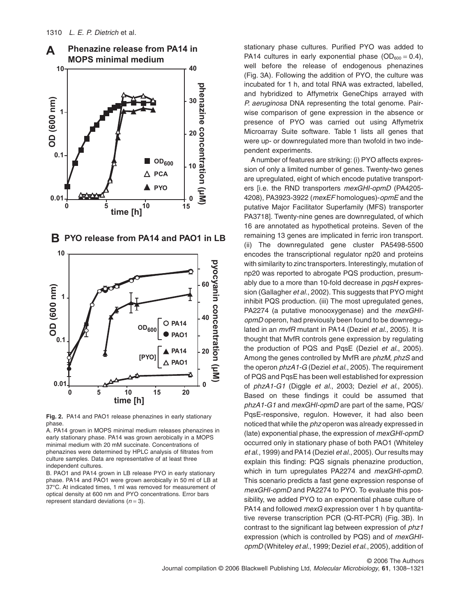

**B PYO release from PA14 and PAO1 in LB**



**Fig. 2.** PA14 and PAO1 release phenazines in early stationary phase.

A. PA14 grown in MOPS minimal medium releases phenazines in early stationary phase. PA14 was grown aerobically in a MOPS minimal medium with 20 mM succinate. Concentrations of phenazines were determined by HPLC analysis of filtrates from culture samples. Data are representative of at least three independent cultures.

B. PAO1 and PA14 grown in LB release PYO in early stationary phase. PA14 and PAO1 were grown aerobically in 50 ml of LB at 37°C. At indicated times, 1 ml was removed for measurement of optical density at 600 nm and PYO concentrations. Error bars represent standard deviations (*n* = 3).

stationary phase cultures. Purified PYO was added to PA14 cultures in early exponential phase  $(OD_{600} = 0.4)$ , well before the release of endogenous phenazines (Fig. 3A). Following the addition of PYO, the culture was incubated for 1 h, and total RNA was extracted, labelled, and hybridized to Affymetrix GeneChips arrayed with *P. aeruginosa* DNA representing the total genome. Pairwise comparison of gene expression in the absence or presence of PYO was carried out using Affymetrix Microarray Suite software. Table 1 lists all genes that were up- or downregulated more than twofold in two independent experiments.

A number of features are striking: (i) PYO affects expression of only a limited number of genes. Twenty-two genes are upregulated, eight of which encode putative transporters [i.e. the RND transporters *mexGHI-opmD* (PA4205- 4208), PA3923-3922 (*mexEF* homologues)-*opmE* and the putative Major Facilitator Superfamily (MFS) transporter PA3718]. Twenty-nine genes are downregulated, of which 16 are annotated as hypothetical proteins. Seven of the remaining 13 genes are implicated in ferric iron transport. (ii) The downregulated gene cluster PA5498-5500 encodes the transcriptional regulator np20 and proteins with similarity to zinc transporters. Interestingly, mutation of np20 was reported to abrogate PQS production, presumably due to a more than 10-fold decrease in *pqsH* expression (Gallagher *et al*., 2002). This suggests that PYO might inhibit PQS production. (iii) The most upregulated genes, PA2274 (a putative monooxygenase) and the *mexGHIopmD* operon, had previously been found to be downregulated in an *mvfR* mutant in PA14 (Deziel *et al*., 2005). It is thought that MvfR controls gene expression by regulating the production of PQS and PqsE (Deziel *et al*., 2005). Among the genes controlled by MvfR are *phzM*, *phzS* and the operon *phzA1-G* (Deziel *et al*., 2005). The requirement of PQS and PqsE has been well established for expression of *phzA1-G1* (Diggle *et al*., 2003; Deziel *et al*., 2005). Based on these findings it could be assumed that *phzA1-G1* and *mexGHI-opmD* are part of the same, PQS/ PqsE-responsive, regulon. However, it had also been noticed that while the *phz* operon was already expressed in (late) exponential phase, the expression of *mexGHI-opmD* occurred only in stationary phase of both PAO1 (Whiteley *et al*., 1999) and PA14 (Deziel *et al*., 2005). Our results may explain this finding: PQS signals phenazine production, which in turn upregulates PA2274 and *mexGHI-opmD*. This scenario predicts a fast gene expression response of *mexGHI-opmD* and PA2274 to PYO. To evaluate this possibility, we added PYO to an exponential phase culture of PA14 and followed *mexG* expression over 1 h by quantitative reverse transcription PCR (Q-RT-PCR) (Fig. 3B). In contrast to the significant lag between expression of *phz1* expression (which is controlled by PQS) and of *mexGHIopmD* (Whiteley *et al*., 1999; Deziel *et al*., 2005), addition of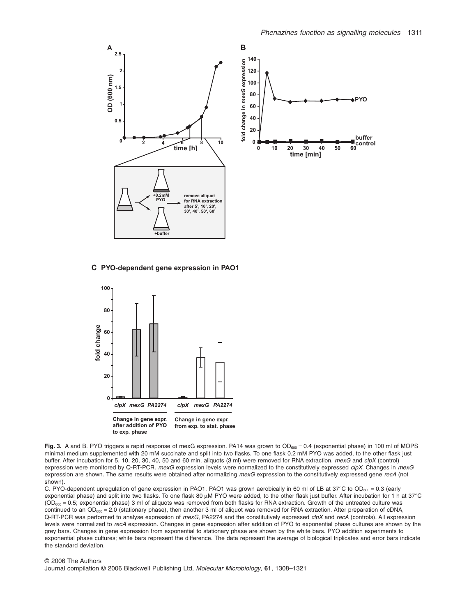

#### **C PYO-dependent gene expression in PAO1**



Fig. 3. A and B. PYO triggers a rapid response of mexG expression. PA14 was grown to OD<sub>600</sub> = 0.4 (exponential phase) in 100 ml of MOPS minimal medium supplemented with 20 mM succinate and split into two flasks. To one flask 0.2 mM PYO was added, to the other flask just buffer. After incubation for 5, 10, 20, 30, 40, 50 and 60 min, aliquots (3 ml) were removed for RNA extraction. *mexG* and *clpX* (control) expression were monitored by Q-RT-PCR. *mexG* expression levels were normalized to the constitutively expressed *clpX*. Changes in *mexG* expression are shown. The same results were obtained after normalizing *mexG* expression to the constitutively expressed gene *recA* (not shown).

C. PYO-dependent upregulation of gene expression in PAO1. PAO1 was grown aerobically in 60 ml of LB at  $37^{\circ}$ C to OD<sub>600</sub> = 0.3 (early exponential phase) and split into two flasks. To one flask 80  $\mu$ M PYO were added, to the other flask just buffer. After incubation for 1 h at 37°C  $(OD<sub>600</sub> = 0.5; exponential phase)$  3 ml of aliquots was removed from both flasks for RNA extraction. Growth of the untreated culture was continued to an  $OD_{600} = 2.0$  (stationary phase), then another 3 ml of aliquot was removed for RNA extraction. After preparation of cDNA, Q-RT-PCR was performed to analyse expression of *mexG*, PA2274 and the constitutively expressed *clpX* and *recA* (controls). All expression levels were normalized to *recA* expression. Changes in gene expression after addition of PYO to exponential phase cultures are shown by the grey bars. Changes in gene expression from exponential to stationary phase are shown by the white bars. PYO addition experiments to exponential phase cultures; white bars represent the difference. The data represent the average of biological triplicates and error bars indicate the standard deviation.

#### © 2006 The Authors

Journal compilation © 2006 Blackwell Publishing Ltd, *Molecular Microbiology*, **61**, 1308–1321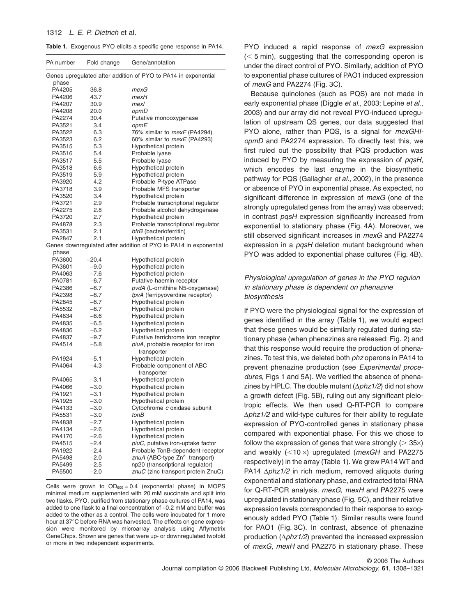#### 1312 *L. E. P. Dietrich* et al.

**Table 1.** Exogenous PYO elicits a specific gene response in PA14.

| PA number                                                               | Fold change      | Gene/annotation                                                  |  |  |
|-------------------------------------------------------------------------|------------------|------------------------------------------------------------------|--|--|
| Genes upregulated after addition of PYO to PA14 in exponential<br>phase |                  |                                                                  |  |  |
| PA4205                                                                  | 36.8             | mexG                                                             |  |  |
| PA4206                                                                  | 43.7             | mexH                                                             |  |  |
| PA4207                                                                  | 30.9             | mexl                                                             |  |  |
| PA4208                                                                  | 20.0             | opmD                                                             |  |  |
| PA2274                                                                  | 30.4             | Putative monooxygenase                                           |  |  |
| PA3521                                                                  | 3.4              | opmE                                                             |  |  |
| PA3522                                                                  | 6.3              | 76% similar to <i>mexF</i> (PA4294)                              |  |  |
| PA3523                                                                  | 6.2              | 60% similar to <i>mexE</i> (PA4293)                              |  |  |
| PA3515                                                                  | 5.3              | Hypothetical protein                                             |  |  |
| PA3516                                                                  | 5.4              | Probable lyase                                                   |  |  |
| PA3517                                                                  | 5.5              | Probable Iyase                                                   |  |  |
| PA3518                                                                  | 6.6              | Hypothetical protein                                             |  |  |
| PA3519                                                                  | 5.9              | Hypothetical protein                                             |  |  |
| PA3920                                                                  | 4.2              | Probable P-type ATPase                                           |  |  |
| PA3718                                                                  | 3.9              | Probable MFS transporter                                         |  |  |
| PA3520                                                                  | 3.4              | Hypothetical protein                                             |  |  |
| PA3721                                                                  | 2.9              | Probable transcriptional regulator                               |  |  |
| PA2275                                                                  | 2.8              | Probable alcohol dehydrogenase                                   |  |  |
| PA3720                                                                  | 2.7              | Hypothetical protein                                             |  |  |
| PA4878                                                                  | 2.3              |                                                                  |  |  |
| PA3531                                                                  | 2.1              | Probable transcriptional regulator<br>bfrB (bacterioferritin)    |  |  |
| PA2847                                                                  | 2.1              | Hypothetical protein                                             |  |  |
|                                                                         |                  | Genes downregulated after addition of PYO to PA14 in exponential |  |  |
|                                                                         |                  |                                                                  |  |  |
| phase                                                                   |                  |                                                                  |  |  |
| PA3600                                                                  | $-20.4$          | Hypothetical protein                                             |  |  |
| PA3601<br>PA4063                                                        | $-9.0$<br>$-7.6$ | Hypothetical protein<br>Hypothetical protein                     |  |  |
|                                                                         | $-6.7$           | Putative haemin receptor                                         |  |  |
| PA0781                                                                  |                  |                                                                  |  |  |
| PA2386                                                                  | $-6.7$           | pvdA (L-ornithine N5-oxygenase)                                  |  |  |
| PA2398                                                                  | $-6.7$           | fpvA (ferripyoverdine receptor)                                  |  |  |
| PA2845                                                                  | $-6.7$           | Hypothetical protein                                             |  |  |
| PA5532                                                                  | $-6.7$           | Hypothetical protein                                             |  |  |
| PA4834                                                                  | $-6.6$           | Hypothetical protein                                             |  |  |
| PA4835                                                                  | $-6.5$           | Hypothetical protein                                             |  |  |
| PA4836                                                                  | $-6.2$           | Hypothetical protein                                             |  |  |
| PA4837                                                                  | $-9.7$           | Putative ferrichrome iron receptor                               |  |  |
| PA4514                                                                  | $-5.8$           | piuA, probable receptor for iron                                 |  |  |
|                                                                         |                  | transporter                                                      |  |  |
| PA1924                                                                  | $-5.1$           | Hypothetical protein                                             |  |  |
| PA4064                                                                  | $-4.3$           | Probable component of ABC                                        |  |  |
|                                                                         |                  | transporter                                                      |  |  |
| PA4065                                                                  | $-3.1$           | Hypothetical protein                                             |  |  |
| PA4066                                                                  | $-3.0$           | Hypothetical protein                                             |  |  |
| PA1921                                                                  | $-3.1$           | Hypothetical protein                                             |  |  |
| PA1925                                                                  | $-3.0$           | Hypothetical protein                                             |  |  |
| PA4133                                                                  | $-3.0$           | Cytochrome c oxidase subunit                                     |  |  |
| PA5531                                                                  | $-3.0$           | tonB                                                             |  |  |
| PA4838                                                                  | $-2.7$           | Hypothetical protein                                             |  |  |
| PA4134                                                                  | $-2.6$           | Hypothetical protein                                             |  |  |
| PA4170                                                                  | $-2.6$           | Hypothetical protein                                             |  |  |
| PA4515                                                                  | $-2.4$           | piuC, putative iron-uptake factor                                |  |  |
| PA1922                                                                  | $-2.4$           | Probable TonB-dependent receptor                                 |  |  |
| PA5498                                                                  | $-2.0$           | znuA (ABC-type Zn <sup>2+</sup> transport)                       |  |  |
| PA5499                                                                  | $-2.5$           | np20 (transcriptional regulator)                                 |  |  |
| PA5500                                                                  | $-2.0$           | znuC (zinc transport protein ZnuC)                               |  |  |

Cells were grown to  $OD_{600} = 0.4$  (exponential phase) in MOPS minimal medium supplemented with 20 mM succinate and split into two flasks. PYO, purified from stationary phase cultures of PA14, was added to one flask to a final concentration of ~0.2 mM and buffer was added to the other as a control. The cells were incubated for 1 more hour at 37°C before RNA was harvested. The effects on gene expression were monitored by microarray analysis using Affymetrix GeneChips. Shown are genes that were up- or downregulated twofold or more in two independent experiments.

PYO induced a rapid response of *mexG* expression  $(< 5$  min), suggesting that the corresponding operon is under the direct control of PYO. Similarly, addition of PYO to exponential phase cultures of PAO1 induced expression of *mexG* and PA2274 (Fig. 3C).

Because quinolones (such as PQS) are not made in early exponential phase (Diggle *et al*., 2003; Lepine *et al*., 2003) and our array did not reveal PYO-induced upregulation of upstream QS genes, our data suggested that PYO alone, rather than PQS, is a signal for *mexGHIopmD* and PA2274 expression. To directly test this, we first ruled out the possibility that PQS production was induced by PYO by measuring the expression of *pqsH*, which encodes the last enzyme in the biosynthetic pathway for PQS (Gallagher *et al*., 2002), in the presence or absence of PYO in exponential phase. As expected, no significant difference in expression of *mexG* (one of the strongly upregulated genes from the array) was observed; in contrast *pqsH* expression significantly increased from exponential to stationary phase (Fig. 4A). Moreover, we still observed significant increases in *mexG* and PA2274 expression in a *pqsH* deletion mutant background when PYO was added to exponential phase cultures (Fig. 4B).

# *Physiological upregulation of genes in the PYO regulon in stationary phase is dependent on phenazine biosynthesis*

If PYO were the physiological signal for the expression of genes identified in the array (Table 1), we would expect that these genes would be similarly regulated during stationary phase (when phenazines are released; Fig. 2) and that this response would require the production of phenazines. To test this, we deleted both *phz* operons in PA14 to prevent phenazine production (see *Experimental procedures*, Figs 1 and 5A). We verified the absence of phenazines by HPLC. The double mutant  $(\Delta phz1/2)$  did not show a growth defect (Fig. 5B), ruling out any significant pleiotropic effects. We then used Q-RT-PCR to compare  $\Delta phz1/2$  and wild-type cultures for their ability to regulate expression of PYO-controlled genes in stationary phase compared with exponential phase. For this we chose to follow the expression of genes that were strongly ( $>$  35 $\times$ ) and weakly (<10 x) upregulated (*mexGH* and PA2275 respectively) in the array (Table 1). We grew PA14 WT and PA14  $\Delta phz1/2$  in rich medium, removed aliquots during exponential and stationary phase, and extracted total RNA for Q-RT-PCR analysis. *mexG, mexH* and PA2275 were upregulated in stationary phase (Fig. 5C), and their relative expression levels corresponded to their response to exogenously added PYO (Table 1). Similar results were found for PAO1 (Fig. 3C). In contrast, absence of phenazine production  $(\Delta phz1/2)$  prevented the increased expression of *mexG*, *mexH* and PA2275 in stationary phase. These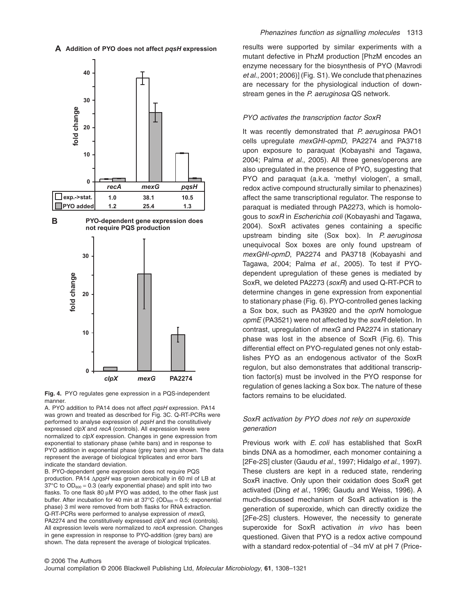$\bm{A}$  Addition of PYO does not affect *pqsH* expression



**Fig. 4.** PYO regulates gene expression in a PQS-independent manner.

A. PYO addition to PA14 does not affect *pqsH* expression. PA14 was grown and treated as described for Fig. 3C. Q-RT-PCRs were performed to analyse expression of *pqsH* and the constitutively expressed *clpX* and *recA* (controls). All expression levels were normalized to *clpX* expression. Changes in gene expression from exponential to stationary phase (white bars) and in response to PYO addition in exponential phase (grey bars) are shown. The data represent the average of biological triplicates and error bars indicate the standard deviation.

B. PYO-dependent gene expression does not require PQS production. PA14  $\Delta p$ *qsH* was grown aerobically in 60 ml of LB at 37 $\degree$ C to OD<sub>600</sub> = 0.3 (early exponential phase) and split into two flasks. To one flask 80 µM PYO was added, to the other flask just buffer. After incubation for 40 min at  $37^{\circ}$ C (OD $_{600}$  = 0.5; exponential phase) 3 ml were removed from both flasks for RNA extraction. Q-RT-PCRs were performed to analyse expression of *mexG*, PA2274 and the constitutively expressed *clpX* and *recA* (controls). All expression levels were normalized to *recA* expression. Changes in gene expression in response to PYO-addition (grey bars) are shown. The data represent the average of biological triplicates.

results were supported by similar experiments with a mutant defective in PhzM production [PhzM encodes an enzyme necessary for the biosynthesis of PYO (Mavrodi *et al*., 2001; 2006)] (Fig. S1). We conclude that phenazines are necessary for the physiological induction of downstream genes in the *P. aeruginosa* QS network.

#### *PYO activates the transcription factor SoxR*

It was recently demonstrated that *P. aeruginosa* PAO1 cells upregulate *mexGHI-opmD*, PA2274 and PA3718 upon exposure to paraquat (Kobayashi and Tagawa, 2004; Palma *et al*., 2005). All three genes/operons are also upregulated in the presence of PYO, suggesting that PYO and paraquat (a.k.a. 'methyl viologen', a small, redox active compound structurally similar to phenazines) affect the same transcriptional regulator. The response to paraquat is mediated through PA2273, which is homologous to *soxR* in *Escherichia coli* (Kobayashi and Tagawa, 2004). SoxR activates genes containing a specific upstream binding site (Sox box). In *P. aeruginosa* unequivocal Sox boxes are only found upstream of *mexGHI-opmD*, PA2274 and PA3718 (Kobayashi and Tagawa, 2004; Palma *et al*., 2005). To test if PYOdependent upregulation of these genes is mediated by SoxR, we deleted PA2273 (*soxR*) and used Q-RT-PCR to determine changes in gene expression from exponential to stationary phase (Fig. 6). PYO-controlled genes lacking a Sox box, such as PA3920 and the *oprN* homologue *opmE* (PA3521) were not affected by the *soxR* deletion. In contrast, upregulation of *mexG* and PA2274 in stationary phase was lost in the absence of SoxR (Fig. 6). This differential effect on PYO-regulated genes not only establishes PYO as an endogenous activator of the SoxR regulon, but also demonstrates that additional transcription factor(s) must be involved in the PYO response for regulation of genes lacking a Sox box. The nature of these factors remains to be elucidated.

# *SoxR activation by PYO does not rely on superoxide generation*

Previous work with *E. coli* has established that SoxR binds DNA as a homodimer, each monomer containing a [2Fe-2S] cluster (Gaudu *et al*., 1997; Hidalgo *et al*., 1997). These clusters are kept in a reduced state, rendering SoxR inactive. Only upon their oxidation does SoxR get activated (Ding *et al*., 1996; Gaudu and Weiss, 1996). A much-discussed mechanism of SoxR activation is the generation of superoxide, which can directly oxidize the [2Fe-2S] clusters. However, the necessity to generate superoxide for SoxR activation *in vivo* has been questioned. Given that PYO is a redox active compound with a standard redox-potential of  $-34$  mV at pH 7 (Price-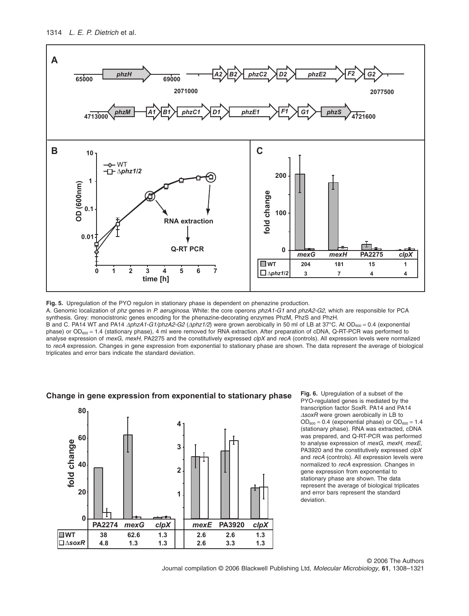

**Fig. 5.** Upregulation of the PYO regulon in stationary phase is dependent on phenazine production.

A. Genomic localization of *phz* genes in *P. aeruginosa*. White: the core operons *phzA1-G1* and *phzA2-G2*, which are responsible for PCA synthesis. Grey: monocistronic genes encoding for the phenazine-decorating enzymes PhzM, PhzS and PhzH.

B and C. PA14 WT and PA14 Δ*phzA1-G1/phzA2-G2* (Δ*phz1/2*) were grown aerobically in 50 ml of LB at 37°C. At OD<sub>600</sub> = 0.4 (exponential phase) or  $OD_{600} = 1.4$  (stationary phase), 4 ml were removed for RNA extraction. After preparation of cDNA, Q-RT-PCR was performed to analyse expression of *mexG*, *mexH*, PA2275 and the constitutively expressed *clpX* and *recA* (controls). All expression levels were normalized to *recA* expression. Changes in gene expression from exponential to stationary phase are shown. The data represent the average of biological triplicates and error bars indicate the standard deviation.



**Change in gene expression from exponential to stationary phase**

**Fig. 6.** Upregulation of a subset of the PYO-regulated genes is mediated by the transcription factor SoxR. PA14 and PA14 D*soxR* were grown aerobically in LB to  $OD_{600} = 0.4$  (exponential phase) or  $OD_{600} = 1.4$ (stationary phase). RNA was extracted, cDNA was prepared, and Q-RT-PCR was performed to analyse expression of *mexG*, *mexH*, *mexE*, PA3920 and the constitutively expressed *clpX* and *recA* (controls). All expression levels were normalized to *recA* expression. Changes in gene expression from exponential to stationary phase are shown. The data represent the average of biological triplicates and error bars represent the standard deviation.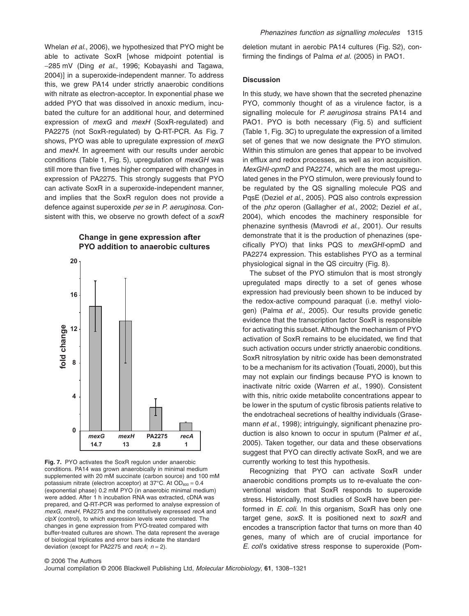Whelan *et al*., 2006), we hypothesized that PYO might be able to activate SoxR [whose midpoint potential is -285 mV (Ding *et al*., 1996; Kobayashi and Tagawa, 2004)] in a superoxide-independent manner. To address this, we grew PA14 under strictly anaerobic conditions with nitrate as electron-acceptor. In exponential phase we added PYO that was dissolved in anoxic medium, incubated the culture for an additional hour, and determined expression of *mexG* and *mexH* (SoxR-regulated) and PA2275 (not SoxR-regulated) by Q-RT-PCR. As Fig. 7 shows, PYO was able to upregulate expression of *mexG* and *mexH*. In agreement with our results under aerobic conditions (Table 1, Fig. 5), upregulation of *mexGH* was still more than five times higher compared with changes in expression of PA2275. This strongly suggests that PYO can activate SoxR in a superoxide-independent manner, and implies that the SoxR regulon does not provide a defence against superoxide *per se* in *P. aeruginosa*. Consistent with this, we observe no growth defect of a *soxR*

# **Change in gene expression after PYO addition to anaerobic cultures**



**Fig. 7.** PYO activates the SoxR regulon under anaerobic conditions. PA14 was grown anaerobically in minimal medium supplemented with 20 mM succinate (carbon source) and 100 mM potassium nitrate (electron acceptor) at  $37^{\circ}$ C. At OD<sub>600</sub> = 0.4 (exponential phase) 0.2 mM PYO (in anaerobic minimal medium) were added. After 1 h incubation RNA was extracted, cDNA was prepared, and Q-RT-PCR was performed to analyse expression of *mexG*, *mexH*, PA2275 and the constitutively expressed *recA* and *clpX* (control), to which expression levels were correlated. The changes in gene expression from PYO-treated compared with buffer-treated cultures are shown. The data represent the average of biological triplicates and error bars indicate the standard deviation (except for PA2275 and *recA*; *n* = 2).

deletion mutant in aerobic PA14 cultures (Fig. S2), confirming the findings of Palma *et al*. (2005) in PAO1.

## **Discussion**

In this study, we have shown that the secreted phenazine PYO, commonly thought of as a virulence factor, is a signalling molecule for *P. aeruginosa* strains PA14 and PAO1. PYO is both necessary (Fig. 5) and sufficient (Table 1, Fig. 3C) to upregulate the expression of a limited set of genes that we now designate the PYO stimulon. Within this stimulon are genes that appear to be involved in efflux and redox processes, as well as iron acquisition. *MexGHI-opmD* and PA2274, which are the most upregulated genes in the PYO stimulon, were previously found to be regulated by the QS signalling molecule PQS and PqsE (Deziel *et al*., 2005). PQS also controls expression of the *phz* operon (Gallagher *et al*., 2002; Deziel *et al*., 2004), which encodes the machinery responsible for phenazine synthesis (Mavrodi *et al*., 2001). Our results demonstrate that it is the production of phenazines (specifically PYO) that links PQS to *mexGHI-*opmD and PA2274 expression. This establishes PYO as a terminal physiological signal in the QS circuitry (Fig. 8).

The subset of the PYO stimulon that is most strongly upregulated maps directly to a set of genes whose expression had previously been shown to be induced by the redox-active compound paraquat (i.e. methyl viologen) (Palma *et al*., 2005). Our results provide genetic evidence that the transcription factor SoxR is responsible for activating this subset. Although the mechanism of PYO activation of SoxR remains to be elucidated, we find that such activation occurs under strictly anaerobic conditions. SoxR nitrosylation by nitric oxide has been demonstrated to be a mechanism for its activation (Touati, 2000), but this may not explain our findings because PYO is known to inactivate nitric oxide (Warren *et al*., 1990). Consistent with this, nitric oxide metabolite concentrations appear to be lower in the sputum of cystic fibrosis patients relative to the endotracheal secretions of healthy individuals (Grasemann *et al*., 1998); intriguingly, significant phenazine production is also known to occur in sputum (Palmer *et al*., 2005). Taken together, our data and these observations suggest that PYO can directly activate SoxR, and we are currently working to test this hypothesis.

Recognizing that PYO can activate SoxR under anaerobic conditions prompts us to re-evaluate the conventional wisdom that SoxR responds to superoxide stress. Historically, most studies of SoxR have been performed in *E. coli*. In this organism, SoxR has only one target gene, *soxS*. It is positioned next to *soxR* and encodes a transcription factor that turns on more than 40 genes, many of which are of crucial importance for *E. coli*'s oxidative stress response to superoxide (Pom-

#### © 2006 The Authors

Journal compilation © 2006 Blackwell Publishing Ltd, *Molecular Microbiology*, **61**, 1308–1321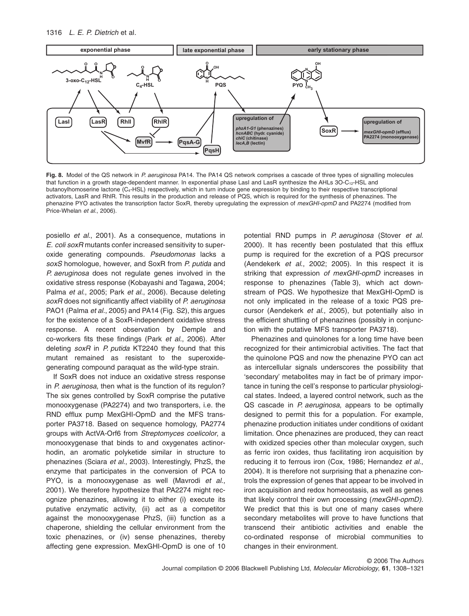#### 1316 *L. E. P. Dietrich* et al.



**Fig. 8.** Model of the QS network in *P. aeruginosa* PA14. The PA14 QS network comprises a cascade of three types of signalling molecules that function in a growth stage-dependent manner. In exponential phase LasI and LasR synthesize the AHLs 3O-C<sub>12</sub>-HSL and butanoylhomoserine lactone (C4-HSL) respectively, which in turn induce gene expression by binding to their respective transcriptional activators, LasR and RhlR. This results in the production and release of PQS, which is required for the synthesis of phenazines. The phenazine PYO activates the transcription factor SoxR, thereby upregulating the expression of *mexGHI-opmD* and PA2274 (modified from Price-Whelan *et al*., 2006).

posiello *et al*., 2001). As a consequence, mutations in *E. coli soxR* mutants confer increased sensitivity to superoxide generating compounds. *Pseudomonas* lacks a *soxS* homologue, however, and SoxR from *P. putida* and *P. aeruginosa* does not regulate genes involved in the oxidative stress response (Kobayashi and Tagawa, 2004; Palma *et al*., 2005; Park *et al*., 2006). Because deleting *soxR* does not significantly affect viability of *P. aeruginosa* PAO1 (Palma *et al*., 2005) and PA14 (Fig. S2), this argues for the existence of a SoxR-independent oxidative stress response. A recent observation by Demple and co-workers fits these findings (Park *et al*., 2006). After deleting *soxR* in *P. putida* KT2240 they found that this mutant remained as resistant to the superoxidegenerating compound paraquat as the wild-type strain.

If SoxR does not induce an oxidative stress response in *P. aeruginosa*, then what is the function of its regulon? The six genes controlled by SoxR comprise the putative monooxygenase (PA2274) and two transporters, i.e. the RND efflux pump MexGHI-OpmD and the MFS transporter PA3718. Based on sequence homology, PA2774 groups with ActVA-Orf6 from *Streptomyces coelicolor*, a monooxygenase that binds to and oxygenates actinorhodin, an aromatic polyketide similar in structure to phenazines (Sciara *et al*., 2003). Interestingly, PhzS, the enzyme that participates in the conversion of PCA to PYO, is a monooxygenase as well (Mavrodi *et al*., 2001). We therefore hypothesize that PA2274 might recognize phenazines, allowing it to either (i) execute its putative enzymatic activity, (ii) act as a competitor against the monooxygenase PhzS, (iii) function as a chaperone, shielding the cellular environment from the toxic phenazines, or (iv) sense phenazines, thereby affecting gene expression. MexGHI-OpmD is one of 10

potential RND pumps in *P. aeruginosa* (Stover *et al*. 2000). It has recently been postulated that this efflux pump is required for the excretion of a PQS precursor (Aendekerk *et al*., 2002; 2005). In this respect it is striking that expression *of mexGHI-opmD* increases in response to phenazines (Table 3), which act downstream of PQS. We hypothesize that MexGHI-OpmD is not only implicated in the release of a toxic PQS precursor (Aendekerk *et al*., 2005), but potentially also in the efficient shuttling of phenazines (possibly in conjunction with the putative MFS transporter PA3718).

Phenazines and quinolones for a long time have been recognized for their antimicrobial activities. The fact that the quinolone PQS and now the phenazine PYO can act as intercellular signals underscores the possibility that 'secondary' metabolites may in fact be of primary importance in tuning the cell's response to particular physiological states. Indeed, a layered control network, such as the QS cascade in *P. aeruginosa*, appears to be optimally designed to permit this for a population. For example, phenazine production initiates under conditions of oxidant limitation. Once phenazines are produced, they can react with oxidized species other than molecular oxygen, such as ferric iron oxides, thus facilitating iron acquisition by reducing it to ferrous iron (Cox, 1986; Hernandez *et al*., 2004). It is therefore not surprising that a phenazine controls the expression of genes that appear to be involved in iron acquisition and redox homeostasis, as well as genes that likely control their own processing (*mexGHI-opmD).* We predict that this is but one of many cases where secondary metabolites will prove to have functions that transcend their antibiotic activities and enable the co-ordinated response of microbial communities to changes in their environment.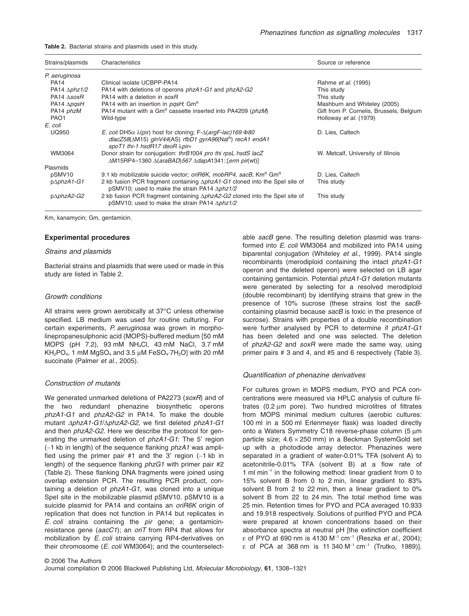**Table 2.** Bacterial strains and plasmids used in this study.

| Strains/plasmids             | Characteristics                                                                                                                                                                                                                      | Source or reference                      |
|------------------------------|--------------------------------------------------------------------------------------------------------------------------------------------------------------------------------------------------------------------------------------|------------------------------------------|
| P. aeruginosa                |                                                                                                                                                                                                                                      |                                          |
| <b>PA14</b>                  | Clinical isolate UCBPP-PA14                                                                                                                                                                                                          | Rahme <i>et al.</i> (1995)               |
| PA14 $\Delta phz1/2$         | PA14 with deletions of operons <i>phzA1-G1</i> and <i>phzA2-G2</i>                                                                                                                                                                   | This study                               |
| $PA14$ $\land$ soxR          | PA14 with a deletion in soxR                                                                                                                                                                                                         | This study                               |
| PA14 $\triangle$ <i>pgsH</i> | PA14 with an insertion in <i>pgsH</i> ; Gm <sup>R</sup>                                                                                                                                                                              | Mashburn and Whiteley (2005)             |
| PA14 phzM                    | PA14 mutant with a Gm <sup>R</sup> cassette inserted into PA4209 ( <i>phzM</i> )                                                                                                                                                     | Gift from P. Cornelis, Brussels, Belgium |
| PAO <sub>1</sub>             | Wild-type                                                                                                                                                                                                                            | Holloway et al. (1979)                   |
| E. coli                      |                                                                                                                                                                                                                                      |                                          |
| <b>UQ950</b>                 | <i>E. coli</i> DH5 $\alpha$ $\lambda$ (pir) host for cloning; F- $\Delta$ ( <i>argF-lac</i> )169 $\Phi$ 80<br>$dlacZ58(\Delta M15)$ glnV44(AS) rfbD1 gyrA96(Nal <sup>R</sup> ) recA1 endA1<br>spoT1 thi-1 hsdR17 deoR $\lambda$ pir+ | D. Lies, Caltech                         |
| WM3064                       | Donor strain for conjugation: thrB1004 pro thi rpsL hsdS lacZ<br>ΔM15RP4-1360 Δ(araBAD)567 ΔdapA1341:: [erm pir(wt)]                                                                                                                 | W. Metcalf, University of Illinois       |
| Plasmids                     |                                                                                                                                                                                                                                      |                                          |
| pSMV10                       | 9.1 kb mobilizable suicide vector; <i>oriR6K, mobRP4, sacB</i> , Km <sup>R</sup> Gm <sup>R</sup>                                                                                                                                     | D. Lies, Caltech                         |
| $p\Delta phzA1-G1$           | 2 kb fusion PCR fragment containing $\Delta phzA1-G1$ cloned into the Spel site of<br>pSMV10; used to make the strain PA14 $\Delta phz1/2$                                                                                           | This study                               |
| p∆phzA2-G2                   | 2 kb fusion PCR fragment containing $\Delta phzA2-G2$ cloned into the Spel site of<br>pSMV10; used to make the strain PA14 $\Delta phz1/2$                                                                                           | This study                               |

Km, kanamycin; Gm, gentamicin.

#### **Experimental procedures**

#### *Strains and plasmids*

Bacterial strains and plasmids that were used or made in this study are listed in Table 2.

#### *Growth conditions*

All strains were grown aerobically at 37°C unless otherwise specified. LB medium was used for routine culturing. For certain experiments, *P. aeruginosa* was grown in morpholinepropanesulphonic acid (MOPS)-buffered medium [50 mM MOPS (pH 7.2), 93 mM NH4Cl, 43 mM NaCl, 3.7 mM  $KH<sub>2</sub>PO<sub>4</sub>$ , 1 mM MgSO<sub>4</sub> and 3.5  $\mu$ M FeSO<sub>4</sub>·7H<sub>2</sub>O] with 20 mM succinate (Palmer *et al*., 2005).

#### *Construction of mutants*

We generated unmarked deletions of PA2273 (*soxR*) and of the two redundant phenazine biosynthetic operons *phzA1-G1* and *phzA2-G2* in PA14. To make the double mutant Δ*phzA1-G1*/Δ*phzA2-G2*, we first deleted *phzA1-G1* and then *phzA2-G2*. Here we describe the protocol for generating the unmarked deletion of *phzA1-G1*: The 5′ region (~1 kb in length) of the sequence flanking *phzA1* was amplified using the primer pair #1 and the 3' region  $(-1)$  kb in length) of the sequence flanking *phzG1* with primer pair #2 (Table 2). These flanking DNA fragments were joined using overlap extension PCR. The resulting PCR product, containing a deletion of *phzA1-G1*, was cloned into a unique SpeI site in the mobilizable plasmid pSMV10. pSMV10 is a suicide plasmid for PA14 and contains an *oriR6K* origin of replication that does not function in PA14 but replicates in *E. coli* strains containing the *pir* gene; a gentamicinresistance gene (*aacC1*); an *oriT* from RP4 that allows for mobilization by *E. coli* strains carrying RP4-derivatives on their chromosome (*E. coli* WM3064); and the counterselectable *sacB* gene. The resulting deletion plasmid was transformed into *E. coli* WM3064 and mobilized into PA14 using biparental conjugation (Whiteley *et al*., 1999). PA14 single recombinants (merodiploid containing the intact *phzA1-G1* operon and the deleted operon) were selected on LB agar containing gentamicin. Potential *phzA1-G1* deletion mutants were generated by selecting for a resolved merodiploid (double recombinant) by identifying strains that grew in the presence of 10% sucrose (these strains lost the *sacB*containing plasmid because *sacB* is toxic in the presence of sucrose). Strains with properties of a double recombination were further analysed by PCR to determine if *phzA1-G1* has been deleted and one was selected. The deletion of *phzA2-G2* and *soxR* were made the same way, using primer pairs # 3 and 4, and #5 and 6 respectively (Table 3).

#### *Quantification of phenazine derivatives*

For cultures grown in MOPS medium, PYO and PCA concentrations were measured via HPLC analysis of culture filtrates (0.2  $\mu$ m pore). Two hundred microlitres of filtrates from MOPS minimal medium cultures (aerobic cultures: 100 ml in a 500 ml Erlenmeyer flask) was loaded directly onto a Waters Symmetry C18 reverse-phase column (5  $\mu$ m particle size;  $4.6 \times 250$  mm) in a Beckman SystemGold set up with a photodiode array detector. Phenazines were separated in a gradient of water-0.01% TFA (solvent A) to acetonitrile-0.01% TFA (solvent B) at a flow rate of 1 ml min<sup>-1</sup> in the following method: linear gradient from 0 to 15% solvent B from 0 to 2 min, linear gradient to 83% solvent B from 2 to 22 min, then a linear gradient to 0% solvent B from 22 to 24 min. The total method time was 25 min. Retention times for PYO and PCA averaged 10.933 and 19.918 respectively. Solutions of purified PYO and PCA were prepared at known concentrations based on their absorbance spectra at neutral pH [the extinction coefficient e of PYO at 690 nm is 4130 M-<sup>1</sup> cm-<sup>1</sup> (Reszka *et al*., 2004);  $\epsilon$  of PCA at 368 nm is 11 340 M<sup>-1</sup> cm<sup>-1</sup> (Trutko, 1989)].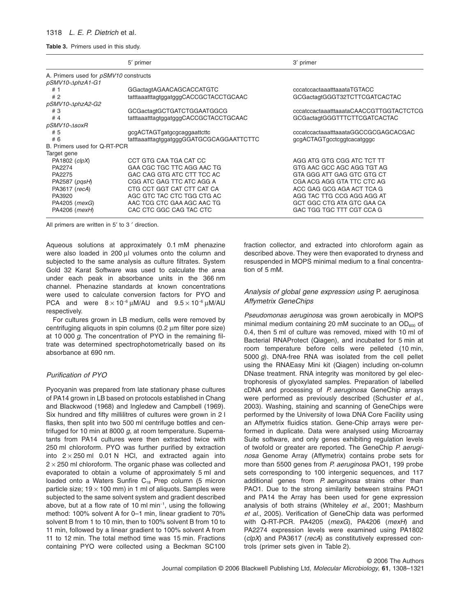#### 1318 *L. E. P. Dietrich* et al.

**Table 3.** Primers used in this study.

|                                       | 5' primer                                | 3' primer                               |  |  |
|---------------------------------------|------------------------------------------|-----------------------------------------|--|--|
| A. Primers used for pSMV10 constructs |                                          |                                         |  |  |
| pSMV10-∆phzA1-G1                      |                                          |                                         |  |  |
| #1                                    | GGactagtAGAACAGCACCATGTC                 | cccatccactaaatttaaataTGTACC             |  |  |
| #2                                    | tatttaaatttagtggatgggCACCGCTACCTGCAAC    | GCGactagtGGGT32TCTTCGATCACTAC           |  |  |
| pSMV10-AphzA2-G2                      |                                          |                                         |  |  |
| # 3                                   | GCGactagtGCTGATCTGGAATGGCG               | cccatccactaaatttaaataCAACCGTTGGTACTCTCG |  |  |
| #4                                    | tatttaaatttagtggatgggCACCGCTACCTGCAAC    | GCGactagtGGGTTTCTTCGATCACTAC            |  |  |
| pSMV10-AsoxR                          |                                          |                                         |  |  |
| # 5                                   | gcgACTAGTgatgcgcaggaattcttc              | cccatccactaaatttaaataGGCCGCGAGCACGAC    |  |  |
| #6                                    | tatttaaatttagtggatgggGGATGCGCAGGAATTCTTC | gcgACTAGTgcctcggtcacatgggc              |  |  |
| B. Primers used for Q-RT-PCR          |                                          |                                         |  |  |
| Target gene                           |                                          |                                         |  |  |
| PA1802 $(clpX)$                       | CCT GTG CAA TGA CAT CC                   | AGG ATG GTG CGG ATC TCT TT              |  |  |
| PA2274                                | GAA CGC TGC TTC AGG AAC TG               | GTG AAC GCC AGC AGG TGT AG              |  |  |
| PA2275                                | GAC CAG GTG ATC CTT TCC AC               | GTA GGG ATT GAG GTC GTG CT              |  |  |
| PA2587 (pgsH)                         | CGG ATC GAG TTC ATC AGG A                | CGA ACG AGG GTA TTC CTC AG              |  |  |
| PA3617 (recA)                         | CTG CCT GGT CAT CTT CAT CA               | ACC GAG GCG AGA ACT TCA G               |  |  |
| PA3920                                | AGC GTC TAC CTC TGG CTG AC               | AGG TAC TTG CCG AGG AGG AT              |  |  |
| PA4205 ( <i>mexG</i> )                | AAC TCG CTC GAA AGC AAC TG               | GCT GGC CTG ATA GTC GAA CA              |  |  |
| PA4206 ( <i>mexH</i> )                | CAC CTC GGC CAG TAC CTC                  | GAC TGG TGC TTT CGT CCA G               |  |  |

All primers are written in 5′ to 3 ′ direction.

Aqueous solutions at approximately 0.1 mM phenazine were also loaded in 200 ul volumes onto the column and subjected to the same analysis as culture filtrates. System Gold 32 Karat Software was used to calculate the area under each peak in absorbance units in the 366 nm channel. Phenazine standards at known concentrations were used to calculate conversion factors for PYO and PCA and were  $8 \times 10^{-6} \mu$ M/AU and  $9.5 \times 10^{-6} \mu$ M/AU respectively.

For cultures grown in LB medium, cells were removed by centrifuging aliquots in spin columns (0.2 µm filter pore size) at 10 000 *g*. The concentration of PYO in the remaining filtrate was determined spectrophotometrically based on its absorbance at 690 nm.

## *Purification of PYO*

Pyocyanin was prepared from late stationary phase cultures of PA14 grown in LB based on protocols established in Chang and Blackwood (1968) and Ingledew and Campbell (1969). Six hundred and fifty millilitres of cultures were grown in 2 l flasks, then split into two 500 ml centrifuge bottles and centrifuged for 10 min at 8000 *g*, at room temperature. Supernatants from PA14 cultures were then extracted twice with 250 ml chloroform. PYO was further purified by extraction into  $2 \times 250$  ml 0.01 N HCl, and extracted again into  $2 \times 250$  ml chloroform. The organic phase was collected and evaporated to obtain a volume of approximately 5 ml and loaded onto a Waters Sunfire C<sub>18</sub> Prep column (5 micron particle size;  $19 \times 100$  mm) in 1 ml of aliquots. Samples were subjected to the same solvent system and gradient described above, but at a flow rate of 10 ml min<sup>-1</sup>, using the following method: 100% solvent A for 0–1 min, linear gradient to 70% solvent B from 1 to 10 min, then to 100% solvent B from 10 to 11 min, followed by a linear gradient to 100% solvent A from 11 to 12 min. The total method time was 15 min. Fractions containing PYO were collected using a Beckman SC100 fraction collector, and extracted into chloroform again as described above. They were then evaporated to dryness and resuspended in MOPS minimal medium to a final concentration of 5 mM.

# *Analysis of global gene expression using* P. aeruginosa *Affymetrix GeneChips*

*Pseudomonas aeruginosa* was grown aerobically in MOPS minimal medium containing 20 mM succinate to an  $OD<sub>600</sub>$  of 0.4, then 5 ml of culture was removed, mixed with 10 ml of Bacterial RNAProtect (Qiagen), and incubated for 5 min at room temperature before cells were pelleted (10 min, 5000 *g*). DNA-free RNA was isolated from the cell pellet using the RNAEasy Mini kit (Qiagen) including on-column DNase treatment. RNA integrity was monitored by gel electrophoresis of glyoxylated samples. Preparation of labelled cDNA and processing of *P. aeruginosa* GeneChip arrays were performed as previously described (Schuster *et al*., 2003). Washing, staining and scanning of GeneChips were performed by the University of Iowa DNA Core Facility using an Affymetrix fluidics station. Gene-Chip arrays were performed in duplicate. Data were analysed using Microarray Suite software, and only genes exhibiting regulation levels of twofold or greater are reported. The GeneChip *P. aeruginosa* Genome Array (Affymetrix) contains probe sets for more than 5500 genes from *P. aeruginosa* PAO1, 199 probe sets corresponding to 100 intergenic sequences, and 117 additional genes from *P. aeruginosa* strains other than PAO1. Due to the strong similarity between strains PAO1 and PA14 the Array has been used for gene expression analysis of both strains (Whiteley *et al*., 2001; Mashburn *et al*., 2005). Verification of GeneChip data was performed with Q-RT-PCR. PA4205 (*mexG*), PA4206 (*mexH*) and PA2274 expression levels were examined using PA1802 (*clpX*) and PA3617 (*recA*) as constitutively expressed controls (primer sets given in Table 2).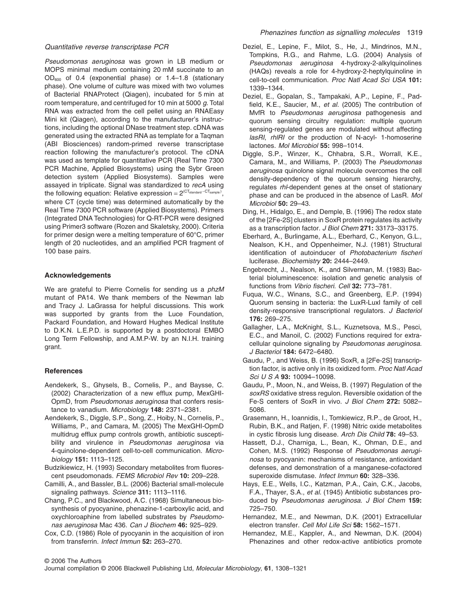## *Quantitative reverse transcriptase PCR*

*Pseudomonas aeruginosa* was grown in LB medium or MOPS minimal medium containing 20 mM succinate to an OD600 of 0.4 (exponential phase) or 1.4–1.8 (stationary phase). One volume of culture was mixed with two volumes of Bacterial RNAProtect (Qiagen), incubated for 5 min at room temperature, and centrifuged for 10 min at 5000 *g*. Total RNA was extracted from the cell pellet using an RNAEasy Mini kit (Qiagen), according to the manufacturer's instructions, including the optional DNase treatment step. cDNA was generated using the extracted RNA as template for a Taqman (ABI Biosciences) random-primed reverse transcriptase reaction following the manufacturer's protocol. The cDNA was used as template for quantitative PCR (Real Time 7300 PCR Machine, Applied Biosystems) using the Sybr Green detection system (Applied Biosystems). Samples were assayed in triplicate. Signal was standardized to *recA* using the following equation: Relative expression =  $2^{\text{(CT<sub>standard</sub> - CT<sub>sample})}</sub>$ where CT (cycle time) was determined automatically by the Real Time 7300 PCR software (Applied Biosystems). Primers (Integrated DNA Technologies) for Q-RT-PCR were designed using Primer3 software (Rozen and Skaletsky, 2000). Criteria for primer design were a melting temperature of 60°C, primer length of 20 nucleotides, and an amplified PCR fragment of 100 base pairs.

#### **Acknowledgements**

We are grateful to Pierre Cornelis for sending us a *phzM* mutant of PA14. We thank members of the Newman lab and Tracy J. LaGrassa for helpful discussions. This work was supported by grants from the Luce Foundation, Packard Foundation, and Howard Hughes Medical Institute to D.K.N. L.E.P.D. is supported by a postdoctoral EMBO Long Term Fellowship, and A.M.P-W. by an N.I.H. training grant.

#### **References**

- Aendekerk, S., Ghysels, B., Cornelis, P., and Baysse, C. (2002) Characterization of a new efflux pump, MexGHI-OpmD, from *Pseudomonas aeruginosa* that confers resistance to vanadium. *Microbiology* **148:** 2371–2381.
- Aendekerk, S., Diggle, S.P., Song, Z., Hoiby, N., Cornelis, P., Williams, P., and Camara, M. (2005) The MexGHI-OpmD multidrug efflux pump controls growth, antibiotic susceptibility and virulence in *Pseudomonas aeruginosa* via 4-quinolone-dependent cell-to-cell communication. *Microbiology* **151:** 1113–1125.
- Budzikiewicz, H. (1993) Secondary metabolites from fluorescent pseudomonads. *FEMS Microbiol Rev* **10:** 209–228.
- Camilli, A., and Bassler, B.L. (2006) Bacterial small-molecule signaling pathways. *Science* **311:** 1113–1116.
- Chang, P.C., and Blackwood, A.C. (1968) Simultaneous biosynthesis of pyocyanine, phenazine-1-carboxylic acid, and oxychloroaphine from labelled substrates by *Pseudomonas aeruginosa* Mac 436. *Can J Biochem* **46:** 925–929.
- Cox, C.D. (1986) Role of pyocyanin in the acquisition of iron from transferrin. *Infect Immun* **52:** 263–270.
- Deziel, E., Lepine, F., Milot, S., He, J., Mindrinos, M.N., Tompkins, R.G., and Rahme, L.G. (2004) Analysis of *Pseudomonas aeruginosa* 4-hydroxy-2-alkylquinolines (HAQs) reveals a role for 4-hydroxy-2-heptylquinoline in cell-to-cell communication. *Proc Natl Acad Sci USA* **101:** 1339–1344.
- Deziel, E., Gopalan, S., Tampakaki, A.P., Lepine, F., Padfield, K.E., Saucier, M., *et al.* (2005) The contribution of MvfR to *Pseudomonas aeruginosa* pathogenesis and quorum sensing circuitry regulation: multiple quorum sensing-regulated genes are modulated without affecting *lasRI*, *rhlRI* or the production of N-acyl- 1-homoserine lactones. *Mol Microbiol* **55:** 998–1014.
- Diggle, S.P., Winzer, K., Chhabra, S.R., Worrall, K.E., Camara, M., and Williams, P. (2003) The *Pseudomonas aeruginosa* quinolone signal molecule overcomes the cell density-dependency of the quorum sensing hierarchy, regulates *rhl*-dependent genes at the onset of stationary phase and can be produced in the absence of LasR. *Mol Microbiol* **50:** 29–43.
- Ding, H., Hidalgo, E., and Demple, B. (1996) The redox state of the [2Fe-2S] clusters in SoxR protein regulates its activity as a transcription factor. *J Biol Chem* **271:** 33173–33175.
- Eberhard, A., Burlingame, A.L., Eberhard, C., Kenyon, G.L., Nealson, K.H., and Oppenheimer, N.J. (1981) Structural identification of autoinducer of *Photobacterium fischeri* luciferase. *Biochemistry* **20:** 2444–2449.
- Engebrecht, J., Nealson, K., and Silverman, M. (1983) Bacterial bioluminescence: isolation and genetic analysis of functions from *Vibrio fischeri*. *Cell* **32:** 773–781.
- Fuqua, W.C., Winans, S.C., and Greenberg, E.P. (1994) Quorum sensing in bacteria: the LuxR-LuxI family of cell density-responsive transcriptional regulators. *J Bacteriol* **176:** 269–275.
- Gallagher, L.A., McKnight, S.L., Kuznetsova, M.S., Pesci, E.C., and Manoil, C. (2002) Functions required for extracellular quinolone signaling by *Pseudomonas aeruginosa*. *J Bacteriol* **184:** 6472–6480.
- Gaudu, P., and Weiss, B. (1996) SoxR, a [2Fe-2S] transcription factor, is active only in its oxidized form. *Proc Natl Acad Sci U S A* **93:** 10094–10098.
- Gaudu, P., Moon, N., and Weiss, B. (1997) Regulation of the *soxRS* oxidative stress regulon. Reversible oxidation of the Fe-S centers of SoxR in vivo. *J Biol Chem* **272:** 5082– 5086.
- Grasemann, H., Ioannidis, I., Tomkiewicz, R.P., de Groot, H., Rubin, B.K., and Ratjen, F. (1998) Nitric oxide metabolites in cystic fibrosis lung disease. *Arch Dis Child* **78:** 49–53.
- Hassett, D.J., Charniga, L., Bean, K., Ohman, D.E., and Cohen, M.S. (1992) Response of *Pseudomonas aeruginosa* to pyocyanin: mechanisms of resistance, antioxidant defenses, and demonstration of a manganese-cofactored superoxide dismutase. *Infect Immun* **60:** 328–336.
- Hays, E.E., Wells, I.C., Katzman, P.A., Cain, C.K., Jacobs, F.A., Thayer, S.A., *et al.* (1945) Antibiotic substances produced by *Pseudomonas aeruginosa*. *J Biol Chem* **159:** 725–750.
- Hernandez, M.E., and Newman, D.K. (2001) Extracellular electron transfer. *Cell Mol Life Sci* **58:** 1562–1571.
- Hernandez, M.E., Kappler, A., and Newman, D.K. (2004) Phenazines and other redox-active antibiotics promote

© 2006 The Authors

Journal compilation © 2006 Blackwell Publishing Ltd, *Molecular Microbiology*, **61**, 1308–1321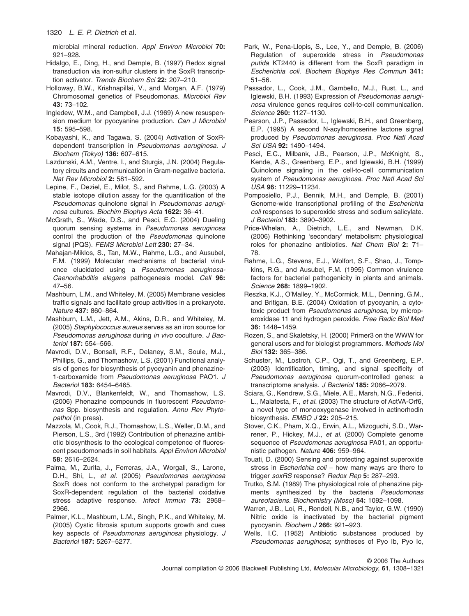microbial mineral reduction. *Appl Environ Microbiol* **70:** 921–928.

- Hidalgo, E., Ding, H., and Demple, B. (1997) Redox signal transduction via iron-sulfur clusters in the SoxR transcription activator. *Trends Biochem Sci* **22:** 207–210.
- Holloway, B.W., Krishnapillai, V., and Morgan, A.F. (1979) Chromosomal genetics of Pseudomonas. *Microbiol Rev* **43:** 73–102.
- Ingledew, W.M., and Campbell, J.J. (1969) A new resuspension medium for pyocyanine production. *Can J Microbiol* **15:** 595–598.
- Kobayashi, K., and Tagawa, S. (2004) Activation of SoxRdependent transcription in *Pseudomonas aeruginosa*. *J Biochem (Tokyo)* **136:** 607–615.
- Lazdunski, A.M., Ventre, I., and Sturgis, J.N. (2004) Regulatory circuits and communication in Gram-negative bacteria. *Nat Rev Microbiol* **2:** 581–592.
- Lepine, F., Deziel, E., Milot, S., and Rahme, L.G. (2003) A stable isotope dilution assay for the quantification of the *Pseudomonas* quinolone signal in *Pseudomonas aeruginosa* cultures. *Biochim Biophys Acta* **1622:** 36–41.
- McGrath, S., Wade, D.S., and Pesci, E.C. (2004) Dueling quorum sensing systems in *Pseudomonas aeruginosa* control the production of the *Pseudomonas* quinolone signal (PQS). *FEMS Microbiol Lett* **230:** 27–34.
- Mahajan-Miklos, S., Tan, M.W., Rahme, L.G., and Ausubel, F.M. (1999) Molecular mechanisms of bacterial virulence elucidated using a *Pseudomonas aeruginosa-Caenorhabditis elegans* pathogenesis model. *Cell* **96:** 47–56.
- Mashburn, L.M., and Whiteley, M. (2005) Membrane vesicles traffic signals and facilitate group activities in a prokaryote. *Nature* **437:** 860–864.
- Mashburn, L.M., Jett, A.M., Akins, D.R., and Whiteley, M. (2005) *Staphylococcus aureus* serves as an iron source for *Pseudomonas aeruginosa* during *in vivo* coculture. *J Bacteriol* **187:** 554–566.
- Mavrodi, D.V., Bonsall, R.F., Delaney, S.M., Soule, M.J., Phillips, G., and Thomashow, L.S. (2001) Functional analysis of genes for biosynthesis of pyocyanin and phenazine-1-carboxamide from *Pseudomonas aeruginosa* PAO1. *J Bacteriol* **183:** 6454–6465.
- Mavrodi, D.V., Blankenfeldt, W., and Thomashow, L.S. (2006) Phenazine compounds in fluorescent *Pseudomonas* Spp. biosynthesis and regulation. *Annu Rev Phytopathol* (in press).
- Mazzola, M., Cook, R.J., Thomashow, L.S., Weller, D.M., and Pierson, L.S., 3rd (1992) Contribution of phenazine antibiotic biosynthesis to the ecological competence of fluorescent pseudomonads in soil habitats. *Appl Environ Microbiol* **58:** 2616–2624.
- Palma, M., Zurita, J., Ferreras, J.A., Worgall, S., Larone, D.H., Shi, L., *et al.* (2005) *Pseudomonas aeruginosa* SoxR does not conform to the archetypal paradigm for SoxR-dependent regulation of the bacterial oxidative stress adaptive response. *Infect Immun* **73:** 2958– 2966.
- Palmer, K.L., Mashburn, L.M., Singh, P.K., and Whiteley, M. (2005) Cystic fibrosis sputum supports growth and cues key aspects of *Pseudomonas aeruginosa* physiology. *J Bacteriol* **187:** 5267–5277.
- Park, W., Pena-Llopis, S., Lee, Y., and Demple, B. (2006) Regulation of superoxide stress in *Pseudomonas putida* KT2440 is different from the SoxR paradigm in *Escherichia coli*. *Biochem Biophys Res Commun* **341:** 51–56.
- Passador, L., Cook, J.M., Gambello, M.J., Rust, L., and Iglewski, B.H. (1993) Expression of *Pseudomonas aeruginosa* virulence genes requires cell-to-cell communication. *Science* **260:** 1127–1130.
- Pearson, J.P., Passador, L., Iglewski, B.H., and Greenberg, E.P. (1995) A second N-acylhomoserine lactone signal produced by *Pseudomonas aeruginosa*. *Proc Natl Acad Sci USA* **92:** 1490–1494.
- Pesci, E.C., Milbank, J.B., Pearson, J.P., McKnight, S., Kende, A.S., Greenberg, E.P., and Iglewski, B.H. (1999) Quinolone signaling in the cell-to-cell communication system of *Pseudomonas aeruginosa*. *Proc Natl Acad Sci USA* **96:** 11229–11234.
- Pomposiello, P.J., Bennik, M.H., and Demple, B. (2001) Genome-wide transcriptional profiling of the *Escherichia coli* responses to superoxide stress and sodium salicylate. *J Bacteriol* **183:** 3890–3902.
- Price-Whelan, A., Dietrich, L.E., and Newman, D.K. (2006) Rethinking 'secondary' metabolism: physiological roles for phenazine antibiotics. *Nat Chem Biol* **2:** 71– 78.
- Rahme, L.G., Stevens, E.J., Wolfort, S.F., Shao, J., Tompkins, R.G., and Ausubel, F.M. (1995) Common virulence factors for bacterial pathogenicity in plants and animals. *Science* **268:** 1899–1902.
- Reszka, K.J., O'Malley, Y., McCormick, M.L., Denning, G.M., and Britigan, B.E. (2004) Oxidation of pyocyanin, a cytotoxic product from *Pseudomonas aeruginosa*, by microperoxidase 11 and hydrogen peroxide. *Free Radic Biol Med* **36:** 1448–1459.
- Rozen, S., and Skaletsky, H. (2000) Primer3 on the WWW for general users and for biologist programmers. *Methods Mol Biol* **132:** 365–386.
- Schuster, M., Lostroh, C.P., Ogi, T., and Greenberg, E.P. (2003) Identification, timing, and signal specificity of *Pseudomonas aeruginosa* quorum-controlled genes: a transcriptome analysis. *J Bacteriol* **185:** 2066–2079.
- Sciara, G., Kendrew, S.G., Miele, A.E., Marsh, N.G., Federici, L., Malatesta, F., *et al.* (2003) The structure of ActVA-Orf6, a novel type of monooxygenase involved in actinorhodin biosynthesis. *EMBO J* **22:** 205–215.
- Stover, C.K., Pham, X.Q., Erwin, A.L., Mizoguchi, S.D., Warrener, P., Hickey, M.J., *et al.* (2000) Complete genome sequence of *Pseudomonas aeruginosa* PA01, an opportunistic pathogen. *Nature* **406:** 959–964.
- Touati, D. (2000) Sensing and protecting against superoxide stress in *Escherichia coli* – how many ways are there to trigger *soxRS* response? *Redox Rep* **5:** 287–293.
- Trutko, S.M. (1989) The physiological role of phenazine pigments synthesized by the bacteria *Pseudomonas aureofaciens*. *Biochemistry (Mosc)* **54:** 1092–1098.
- Warren, J.B., Loi, R., Rendell, N.B., and Taylor, G.W. (1990) Nitric oxide is inactivated by the bacterial pigment pyocyanin. *Biochem J* **266:** 921–923.
- Wells, I.C. (1952) Antibiotic substances produced by *Pseudomonas aeruginosa*; syntheses of Pyo Ib, Pyo Ic,

© 2006 The Authors